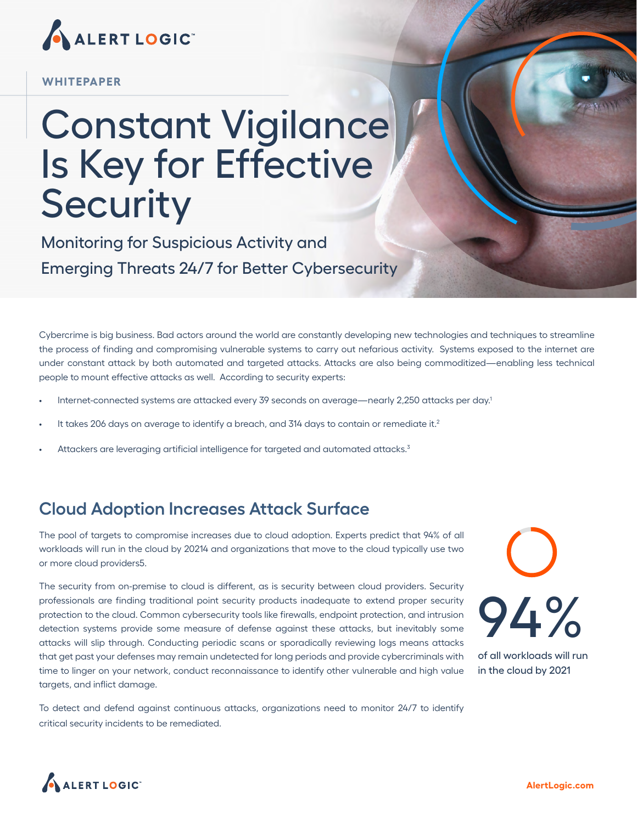

### **WHITEPAPER**

# Constant Vigilance Is Key for Effective **Security**

Monitoring for Suspicious Activity and Emerging Threats 24/7 for Better Cybersecurity

Cybercrime is big business. Bad actors around the world are constantly developing new technologies and techniques to streamline the process of finding and compromising vulnerable systems to carry out nefarious activity. Systems exposed to the internet are under constant attack by both automated and targeted attacks. Attacks are also being commoditized—enabling less technical people to mount effective attacks as well. According to security experts:

- Internet-connected systems are attacked every 39 seconds on average—nearly 2,250 attacks per day.1
- It takes 206 days on average to identify a breach, and 314 days to contain or remediate it.<sup>2</sup>
- Attackers are leveraging artificial intelligence for targeted and automated attacks.<sup>3</sup>

## **Cloud Adoption Increases Attack Surface**

The pool of targets to compromise increases due to cloud adoption. Experts predict that 94% of all workloads will run in the cloud by 20214 and organizations that move to the cloud typically use two or more cloud providers5.

The security from on-premise to cloud is different, as is security between cloud providers. Security professionals are finding traditional point security products inadequate to extend proper security protection to the cloud. Common cybersecurity tools like firewalls, endpoint protection, and intrusion detection systems provide some measure of defense against these attacks, but inevitably some attacks will slip through. Conducting periodic scans or sporadically reviewing logs means attacks that get past your defenses may remain undetected for long periods and provide cybercriminals with time to linger on your network, conduct reconnaissance to identify other vulnerable and high value targets, and inflict damage.

To detect and defend against continuous attacks, organizations need to monitor 24/7 to identify critical security incidents to be remediated.



of all workloads will run in the cloud by 2021